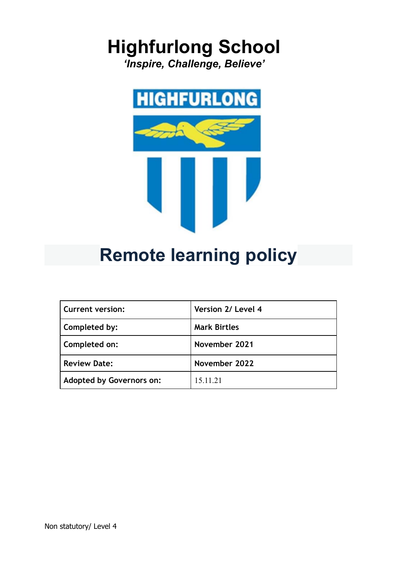# **Highfurlong School**

*'Inspire, Challenge, Believe'*



## **Remote learning policy**

| <b>Current version:</b>         | Version 2/ Level 4  |
|---------------------------------|---------------------|
| Completed by:                   | <b>Mark Birtles</b> |
| Completed on:                   | November 2021       |
| <b>Review Date:</b>             | November 2022       |
| <b>Adopted by Governors on:</b> | 15.11.21            |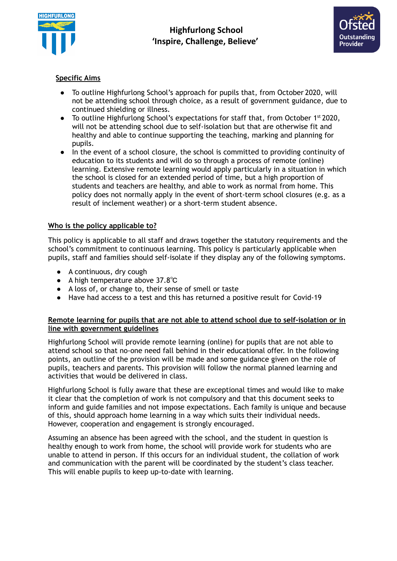



## **Specific Aims**

- To outline Highfurlong School's approach for pupils that, from October 2020, will not be attending school through choice, as a result of government guidance, due to continued shielding or illness.
- To outline Highfurlong School's expectations for staff that, from October 1<sup>st</sup> 2020, will not be attending school due to self-isolation but that are otherwise fit and healthy and able to continue supporting the teaching, marking and planning for pupils.
- In the event of a school closure, the school is committed to providing continuity of education to its students and will do so through a process of remote (online) learning. Extensive remote learning would apply particularly in a situation in which the school is closed for an extended period of time, but a high proportion of students and teachers are healthy, and able to work as normal from home. This policy does not normally apply in the event of short-term school closures (e.g. as a result of inclement weather) or a short-term student absence.

## **Who is the policy applicable to?**

This policy is applicable to all staff and draws together the statutory requirements and the school's commitment to continuous learning. This policy is particularly applicable when pupils, staff and families should self-isolate if they display any of the following symptoms.

- A continuous, dry cough
- A high temperature above 37.8℃
- A loss of, or change to, their sense of smell or taste
- Have had access to a test and this has returned a positive result for Covid-19

#### **Remote learning for pupils that are not able to attend school due to self-isolation or in line with government guidelines**

Highfurlong School will provide remote learning (online) for pupils that are not able to attend school so that no-one need fall behind in their educational offer. In the following points, an outline of the provision will be made and some guidance given on the role of pupils, teachers and parents. This provision will follow the normal planned learning and activities that would be delivered in class.

Highfurlong School is fully aware that these are exceptional times and would like to make it clear that the completion of work is not compulsory and that this document seeks to inform and guide families and not impose expectations. Each family is unique and because of this, should approach home learning in a way which suits their individual needs. However, cooperation and engagement is strongly encouraged.

Assuming an absence has been agreed with the school, and the student in question is healthy enough to work from home, the school will provide work for students who are unable to attend in person. If this occurs for an individual student, the collation of work and communication with the parent will be coordinated by the student's class teacher. This will enable pupils to keep up-to-date with learning.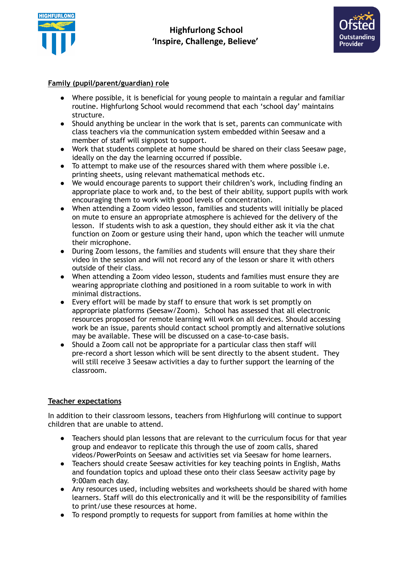



## **Family (pupil/parent/guardian) role**

- Where possible, it is beneficial for young people to maintain a regular and familiar routine. Highfurlong School would recommend that each 'school day' maintains structure.
- Should anything be unclear in the work that is set, parents can communicate with class teachers via the communication system embedded within Seesaw and a member of staff will signpost to support.
- Work that students complete at home should be shared on their class Seesaw page, ideally on the day the learning occurred if possible.
- To attempt to make use of the resources shared with them where possible i.e. printing sheets, using relevant mathematical methods etc.
- We would encourage parents to support their children's work, including finding an appropriate place to work and, to the best of their ability, support pupils with work encouraging them to work with good levels of concentration.
- When attending a Zoom video lesson, families and students will initially be placed on mute to ensure an appropriate atmosphere is achieved for the delivery of the lesson. If students wish to ask a question, they should either ask it via the chat function on Zoom or gesture using their hand, upon which the teacher will unmute their microphone.
- During Zoom lessons, the families and students will ensure that they share their video in the session and will not record any of the lesson or share it with others outside of their class.
- When attending a Zoom video lesson, students and families must ensure they are wearing appropriate clothing and positioned in a room suitable to work in with minimal distractions.
- Every effort will be made by staff to ensure that work is set promptly on appropriate platforms (Seesaw/Zoom). School has assessed that all electronic resources proposed for remote learning will work on all devices. Should accessing work be an issue, parents should contact school promptly and alternative solutions may be available. These will be discussed on a case-to-case basis.
- Should a Zoom call not be appropriate for a particular class then staff will pre-record a short lesson which will be sent directly to the absent student. They will still receive 3 Seesaw activities a day to further support the learning of the classroom.

## **Teacher expectations**

In addition to their classroom lessons, teachers from Highfurlong will continue to support children that are unable to attend.

- Teachers should plan lessons that are relevant to the curriculum focus for that year group and endeavor to replicate this through the use of zoom calls, shared videos/PowerPoints on Seesaw and activities set via Seesaw for home learners.
- Teachers should create Seesaw activities for key teaching points in English, Maths and foundation topics and upload these onto their class Seesaw activity page by 9:00am each day.
- Any resources used, including websites and worksheets should be shared with home learners. Staff will do this electronically and it will be the responsibility of families to print/use these resources at home.
- To respond promptly to requests for support from families at home within the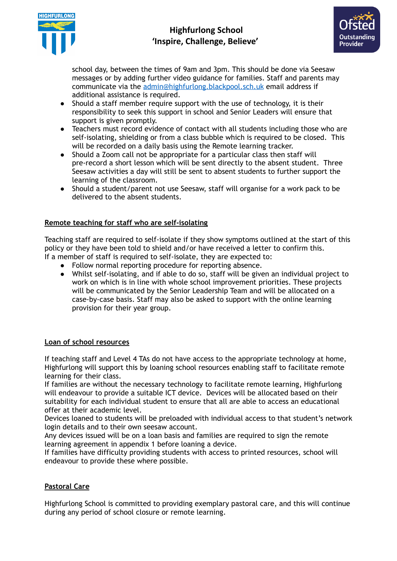

## **Highfurlong School 'Inspire, Challenge, Believe'**



school day, between the times of 9am and 3pm. This should be done via Seesaw messages or by adding further video guidance for families. Staff and parents may communicate via the [admin@highfurlong.blackpool.sch.uk](mailto:admin@highfurlong.blackpool.sch.uk) email address if additional assistance is required.

- Should a staff member require support with the use of technology, it is their responsibility to seek this support in school and Senior Leaders will ensure that support is given promptly.
- Teachers must record evidence of contact with all students including those who are self-isolating, shielding or from a class bubble which is required to be closed. This will be recorded on a daily basis using the Remote learning tracker.
- Should a Zoom call not be appropriate for a particular class then staff will pre-record a short lesson which will be sent directly to the absent student. Three Seesaw activities a day will still be sent to absent students to further support the learning of the classroom.
- Should a student/parent not use Seesaw, staff will organise for a work pack to be delivered to the absent students.

## **Remote teaching for staff who are self-isolating**

Teaching staff are required to self-isolate if they show symptoms outlined at the start of this policy or they have been told to shield and/or have received a letter to confirm this. If a member of staff is required to self-isolate, they are expected to:

- Follow normal reporting procedure for reporting absence.
- Whilst self-isolating, and if able to do so, staff will be given an individual project to work on which is in line with whole school improvement priorities. These projects will be communicated by the Senior Leadership Team and will be allocated on a case-by-case basis. Staff may also be asked to support with the online learning provision for their year group.

#### **Loan of school resources**

If teaching staff and Level 4 TAs do not have access to the appropriate technology at home, Highfurlong will support this by loaning school resources enabling staff to facilitate remote learning for their class.

If families are without the necessary technology to facilitate remote learning, Highfurlong will endeavour to provide a suitable ICT device. Devices will be allocated based on their suitability for each individual student to ensure that all are able to access an educational offer at their academic level.

Devices loaned to students will be preloaded with individual access to that student's network login details and to their own seesaw account.

Any devices issued will be on a loan basis and families are required to sign the remote learning agreement in appendix 1 before loaning a device.

If families have difficulty providing students with access to printed resources, school will endeavour to provide these where possible.

## **Pastoral Care**

Highfurlong School is committed to providing exemplary pastoral care, and this will continue during any period of school closure or remote learning.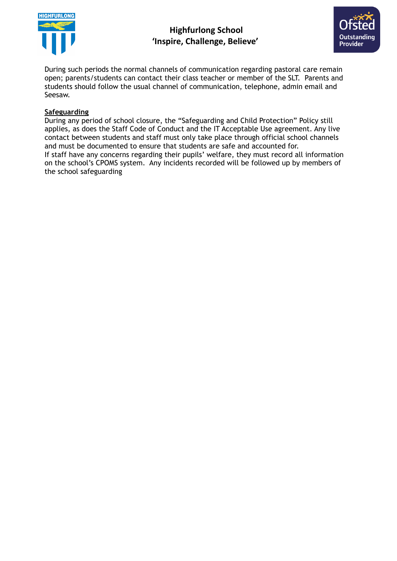

## **Highfurlong School 'Inspire, Challenge, Believe'**



During such periods the normal channels of communication regarding pastoral care remain open; parents/students can contact their class teacher or member of the SLT. Parents and students should follow the usual channel of communication, telephone, admin email and Seesaw.

## **Safeguarding**

During any period of school closure, the "Safeguarding and Child Protection" Policy still applies, as does the Staff Code of Conduct and the IT Acceptable Use agreement. Any live contact between students and staff must only take place through official school channels and must be documented to ensure that students are safe and accounted for. If staff have any concerns regarding their pupils' welfare, they must record all information on the school's CPOMS system. Any incidents recorded will be followed up by members of the school safeguarding